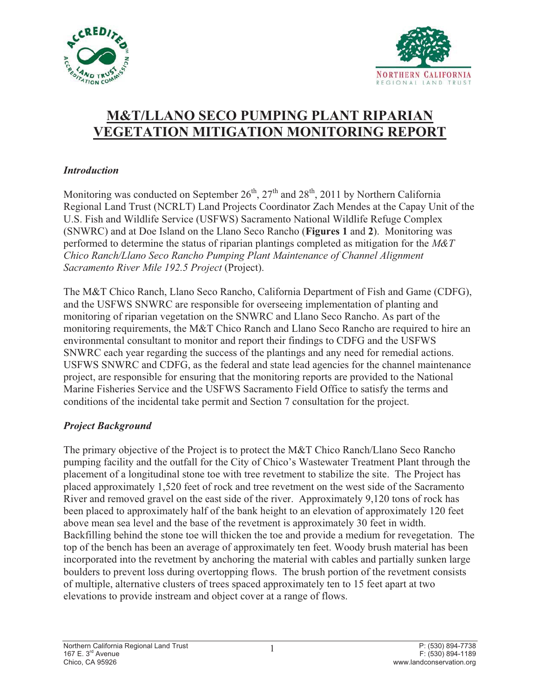



# **M&T/LLANO SECO PUMPING PLANT RIPARIAN VEGETATION MITIGATION MONITORING REPORT**

## *Introduction*

Monitoring was conducted on September  $26<sup>th</sup>$ ,  $27<sup>th</sup>$  and  $28<sup>th</sup>$ , 2011 by Northern California Regional Land Trust (NCRLT) Land Projects Coordinator Zach Mendes at the Capay Unit of the U.S. Fish and Wildlife Service (USFWS) Sacramento National Wildlife Refuge Complex (SNWRC) and at Doe Island on the Llano Seco Rancho (**Figures 1** and **2**). Monitoring was performed to determine the status of riparian plantings completed as mitigation for the *M&T Chico Ranch/Llano Seco Rancho Pumping Plant Maintenance of Channel Alignment Sacramento River Mile 192.5 Project* (Project).

The M&T Chico Ranch, Llano Seco Rancho, California Department of Fish and Game (CDFG), and the USFWS SNWRC are responsible for overseeing implementation of planting and monitoring of riparian vegetation on the SNWRC and Llano Seco Rancho. As part of the monitoring requirements, the M&T Chico Ranch and Llano Seco Rancho are required to hire an environmental consultant to monitor and report their findings to CDFG and the USFWS SNWRC each year regarding the success of the plantings and any need for remedial actions. USFWS SNWRC and CDFG, as the federal and state lead agencies for the channel maintenance project, are responsible for ensuring that the monitoring reports are provided to the National Marine Fisheries Service and the USFWS Sacramento Field Office to satisfy the terms and conditions of the incidental take permit and Section 7 consultation for the project.

## *Project Background*

The primary objective of the Project is to protect the M&T Chico Ranch/Llano Seco Rancho pumping facility and the outfall for the City of Chico's Wastewater Treatment Plant through the placement of a longitudinal stone toe with tree revetment to stabilize the site. The Project has placed approximately 1,520 feet of rock and tree revetment on the west side of the Sacramento River and removed gravel on the east side of the river. Approximately 9,120 tons of rock has been placed to approximately half of the bank height to an elevation of approximately 120 feet above mean sea level and the base of the revetment is approximately 30 feet in width. Backfilling behind the stone toe will thicken the toe and provide a medium for revegetation. The top of the bench has been an average of approximately ten feet. Woody brush material has been incorporated into the revetment by anchoring the material with cables and partially sunken large boulders to prevent loss during overtopping flows. The brush portion of the revetment consists of multiple, alternative clusters of trees spaced approximately ten to 15 feet apart at two elevations to provide instream and object cover at a range of flows.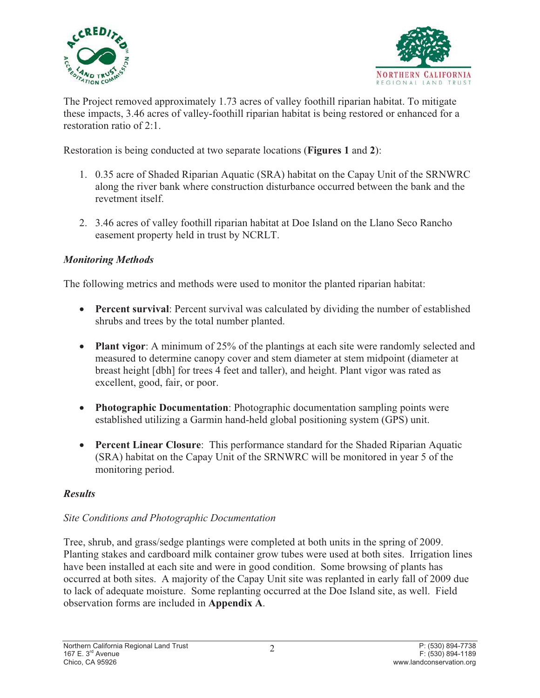



The Project removed approximately 1.73 acres of valley foothill riparian habitat. To mitigate these impacts, 3.46 acres of valley-foothill riparian habitat is being restored or enhanced for a restoration ratio of 2:1.

Restoration is being conducted at two separate locations (**Figures 1** and **2**):

- 1. 0.35 acre of Shaded Riparian Aquatic (SRA) habitat on the Capay Unit of the SRNWRC along the river bank where construction disturbance occurred between the bank and the revetment itself.
- 2. 3.46 acres of valley foothill riparian habitat at Doe Island on the Llano Seco Rancho easement property held in trust by NCRLT.

## *Monitoring Methods*

The following metrics and methods were used to monitor the planted riparian habitat:

- **Percent survival**: Percent survival was calculated by dividing the number of established shrubs and trees by the total number planted.
- Plant vigor: A minimum of 25% of the plantings at each site were randomly selected and measured to determine canopy cover and stem diameter at stem midpoint (diameter at breast height [dbh] for trees 4 feet and taller), and height. Plant vigor was rated as excellent, good, fair, or poor.
- **Photographic Documentation**: Photographic documentation sampling points were established utilizing a Garmin hand-held global positioning system (GPS) unit.
- **Percent Linear Closure:** This performance standard for the Shaded Riparian Aquatic (SRA) habitat on the Capay Unit of the SRNWRC will be monitored in year 5 of the monitoring period.

## *Results*

## *Site Conditions and Photographic Documentation*

Tree, shrub, and grass/sedge plantings were completed at both units in the spring of 2009. Planting stakes and cardboard milk container grow tubes were used at both sites. Irrigation lines have been installed at each site and were in good condition. Some browsing of plants has occurred at both sites. A majority of the Capay Unit site was replanted in early fall of 2009 due to lack of adequate moisture. Some replanting occurred at the Doe Island site, as well. Field observation forms are included in **Appendix A**.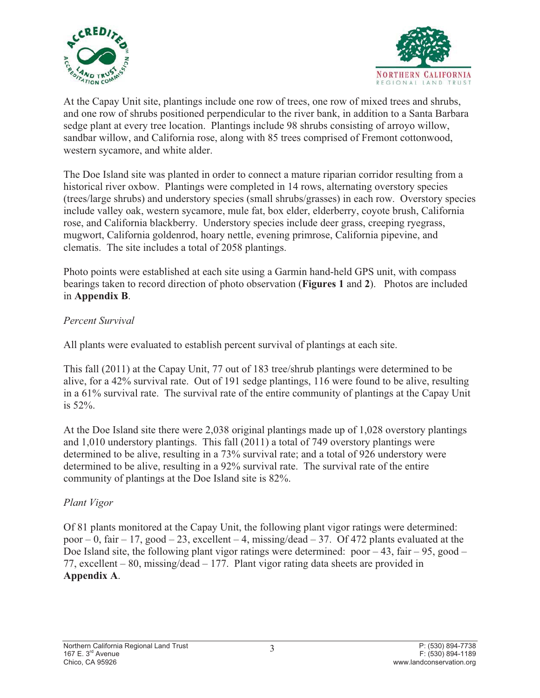



At the Capay Unit site, plantings include one row of trees, one row of mixed trees and shrubs, and one row of shrubs positioned perpendicular to the river bank, in addition to a Santa Barbara sedge plant at every tree location. Plantings include 98 shrubs consisting of arroyo willow, sandbar willow, and California rose, along with 85 trees comprised of Fremont cottonwood, western sycamore, and white alder.

The Doe Island site was planted in order to connect a mature riparian corridor resulting from a historical river oxbow. Plantings were completed in 14 rows, alternating overstory species (trees/large shrubs) and understory species (small shrubs/grasses) in each row. Overstory species include valley oak, western sycamore, mule fat, box elder, elderberry, coyote brush, California rose, and California blackberry. Understory species include deer grass, creeping ryegrass, mugwort, California goldenrod, hoary nettle, evening primrose, California pipevine, and clematis. The site includes a total of 2058 plantings.

Photo points were established at each site using a Garmin hand-held GPS unit, with compass bearings taken to record direction of photo observation (**Figures 1** and **2**). Photos are included in **Appendix B**.

## *Percent Survival*

All plants were evaluated to establish percent survival of plantings at each site.

This fall (2011) at the Capay Unit, 77 out of 183 tree/shrub plantings were determined to be alive, for a 42% survival rate. Out of 191 sedge plantings, 116 were found to be alive, resulting in a 61% survival rate. The survival rate of the entire community of plantings at the Capay Unit is 52%.

At the Doe Island site there were 2,038 original plantings made up of 1,028 overstory plantings and 1,010 understory plantings. This fall (2011) a total of 749 overstory plantings were determined to be alive, resulting in a 73% survival rate; and a total of 926 understory were determined to be alive, resulting in a 92% survival rate. The survival rate of the entire community of plantings at the Doe Island site is 82%.

### *Plant Vigor*

Of 81 plants monitored at the Capay Unit, the following plant vigor ratings were determined: poor – 0, fair – 17, good – 23, excellent – 4, missing/dead – 37. Of 472 plants evaluated at the Doe Island site, the following plant vigor ratings were determined:  $poor -43$ , fair – 95, good – 77, excellent – 80, missing/dead – 177. Plant vigor rating data sheets are provided in **Appendix A**.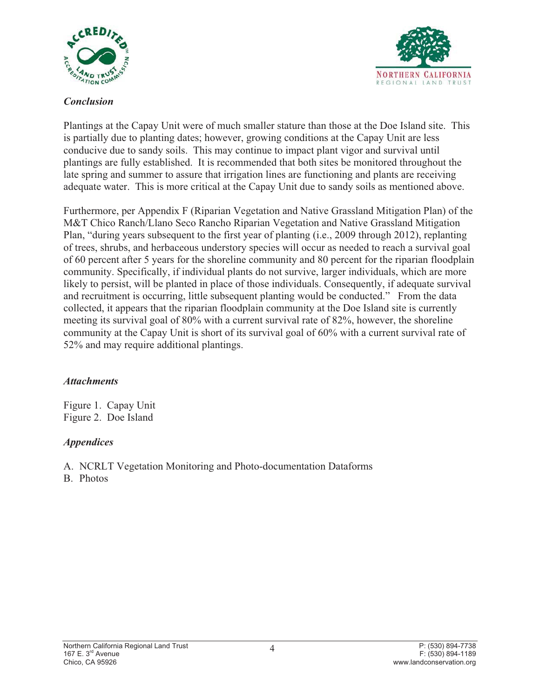



## *Conclusion*

Plantings at the Capay Unit were of much smaller stature than those at the Doe Island site. This is partially due to planting dates; however, growing conditions at the Capay Unit are less conducive due to sandy soils. This may continue to impact plant vigor and survival until plantings are fully established. It is recommended that both sites be monitored throughout the late spring and summer to assure that irrigation lines are functioning and plants are receiving adequate water. This is more critical at the Capay Unit due to sandy soils as mentioned above.

Furthermore, per Appendix F (Riparian Vegetation and Native Grassland Mitigation Plan) of the M&T Chico Ranch/Llano Seco Rancho Riparian Vegetation and Native Grassland Mitigation Plan, "during years subsequent to the first year of planting (i.e., 2009 through 2012), replanting of trees, shrubs, and herbaceous understory species will occur as needed to reach a survival goal of 60 percent after 5 years for the shoreline community and 80 percent for the riparian floodplain community. Specifically, if individual plants do not survive, larger individuals, which are more likely to persist, will be planted in place of those individuals. Consequently, if adequate survival and recruitment is occurring, little subsequent planting would be conducted." From the data collected, it appears that the riparian floodplain community at the Doe Island site is currently meeting its survival goal of 80% with a current survival rate of 82%, however, the shoreline community at the Capay Unit is short of its survival goal of 60% with a current survival rate of 52% and may require additional plantings.

### *Attachments*

Figure 1. Capay Unit Figure 2. Doe Island

## *Appendices*

A. NCRLT Vegetation Monitoring and Photo-documentation Dataforms

B. Photos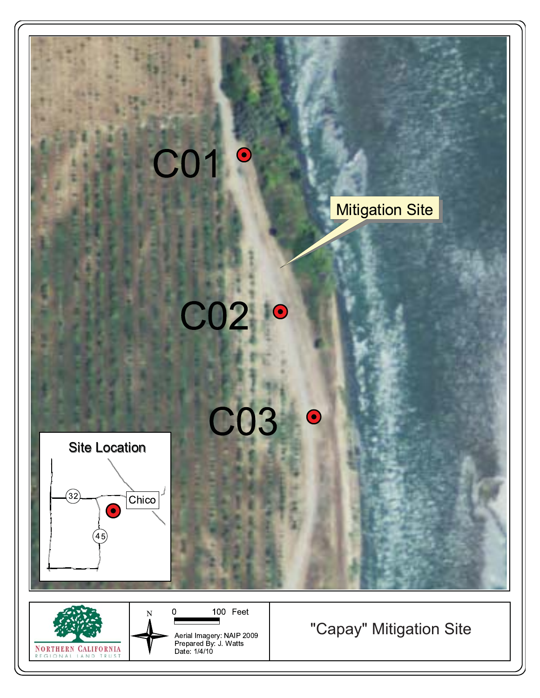

**NORTHERN CALIFORNIA** ONAL IAND TRU

Aerial Imagery: NAIP 2009<br>Prepared By: J. Watts<br>Date: 1/4/10

# "Capay" Mitigation Site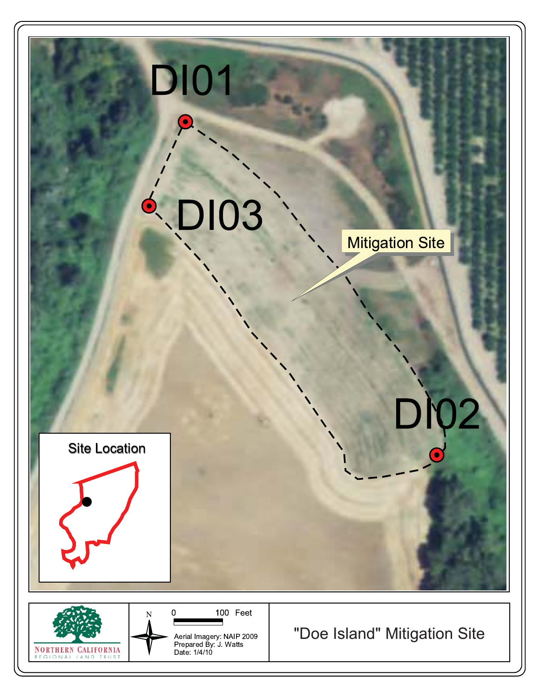

Aerial Imagery: NAIP 2009<br>Prepared By: J. Watts<br>Date: 1/4/10

**NORTHERN CALIFORNIA** REGIONAL LAND TRUST

"Doe Island" Mitigation Site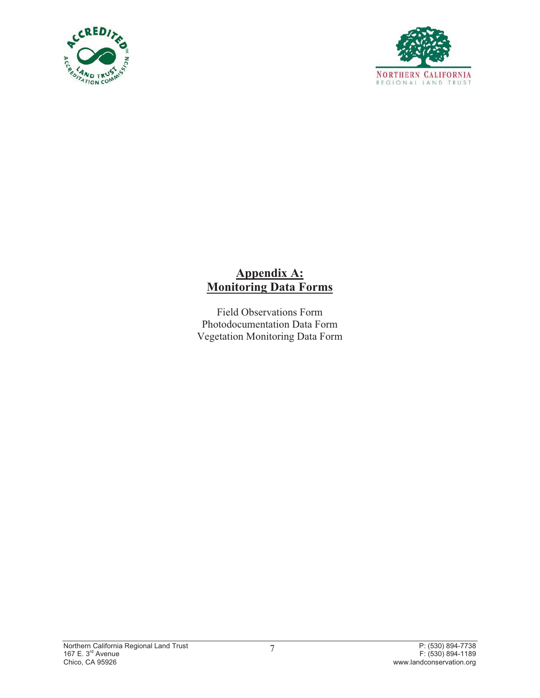



## **Appendix A: Monitoring Data Forms**

Field Observations Form Photodocumentation Data Form Vegetation Monitoring Data Form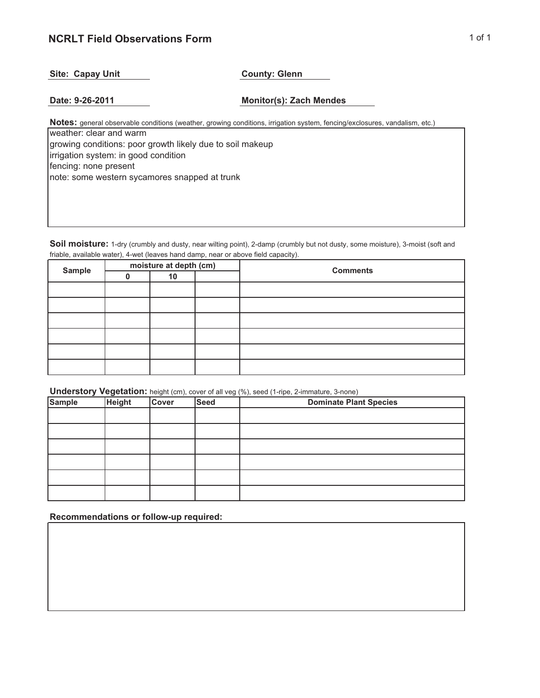### **NCRLT Field Observations Form** 1 of 1

#### Site: Capay Unit **County: Glenn**

**Date: 9-26-2011 Monitor(s): Zach Mendes**

**Notes:** general observable conditions (weather, growing conditions, irrigation system, fencing/exclosures, vandalism, etc.)

weather: clear and warm growing conditions: poor growth likely due to soil makeup irrigation system: in good condition fencing: none present note: some western sycamores snapped at trunk

**Soil moisture:** 1-dry (crumbly and dusty, near wilting point), 2-damp (crumbly but not dusty, some moisture), 3-moist (soft and friable, available water), 4-wet (leaves hand damp, near or above field capacity).

| <b>Sample</b> | moisture at depth (cm) | <b>Comments</b> |  |  |
|---------------|------------------------|-----------------|--|--|
|               | 10                     |                 |  |  |
|               |                        |                 |  |  |
|               |                        |                 |  |  |
|               |                        |                 |  |  |
|               |                        |                 |  |  |
|               |                        |                 |  |  |
|               |                        |                 |  |  |

**Understory Vegetation:** height (cm), cover of all veg (%), seed (1-ripe, 2-immature, 3-none)

| <b>Sample</b> | <b>Height</b> | <b>Cover</b> | <b>Seed</b> | $  -$<br><b>Dominate Plant Species</b> |
|---------------|---------------|--------------|-------------|----------------------------------------|
|               |               |              |             |                                        |
|               |               |              |             |                                        |
|               |               |              |             |                                        |
|               |               |              |             |                                        |
|               |               |              |             |                                        |
|               |               |              |             |                                        |

**Recommendations or follow-up required:**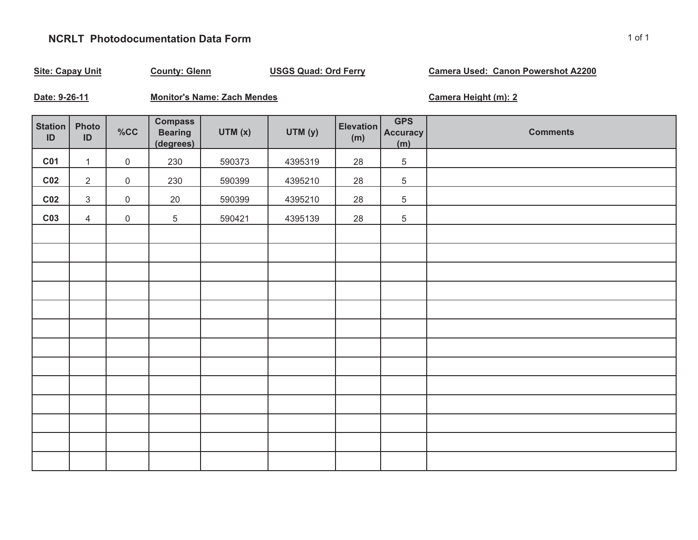## **NCRLT Photodocumentation Data Form**

| <b>Site: Capay Unit</b><br><b>County: Glenn</b> |                |                     | <b>USGS Quad: Ord Ferry</b>                   |                                    |         | <b>Camera Used: Canon Powershot A2200</b> |                                      |                      |
|-------------------------------------------------|----------------|---------------------|-----------------------------------------------|------------------------------------|---------|-------------------------------------------|--------------------------------------|----------------------|
| Date: 9-26-11                                   |                |                     |                                               | <b>Monitor's Name: Zach Mendes</b> |         |                                           |                                      | Camera Height (m): 2 |
| <b>Station</b><br>$\mathsf{ID}$                 | Photo<br>ID    | %CC                 | <b>Compass</b><br><b>Bearing</b><br>(degrees) | UTM(x)                             | UTM (y) | <b>Elevation</b><br>(m)                   | <b>GPS</b><br><b>Accuracy</b><br>(m) | <b>Comments</b>      |
| <b>C01</b>                                      | $\mathbf{1}$   | $\mathsf{O}\xspace$ | 230                                           | 590373                             | 4395319 | 28                                        | $\,$ 5 $\,$                          |                      |
| C <sub>02</sub>                                 | $\overline{2}$ | $\mathbf 0$         | 230                                           | 590399                             | 4395210 | 28                                        | $\,$ 5 $\,$                          |                      |
| C <sub>02</sub>                                 | $\mathfrak{S}$ | $\mathsf{O}\xspace$ | 20                                            | 590399                             | 4395210 | 28                                        | 5                                    |                      |
| C <sub>03</sub>                                 | $\overline{4}$ | $\mathsf{O}\xspace$ | $\overline{5}$                                | 590421                             | 4395139 | 28                                        | $\,$ 5 $\,$                          |                      |
|                                                 |                |                     |                                               |                                    |         |                                           |                                      |                      |
|                                                 |                |                     |                                               |                                    |         |                                           |                                      |                      |
|                                                 |                |                     |                                               |                                    |         |                                           |                                      |                      |
|                                                 |                |                     |                                               |                                    |         |                                           |                                      |                      |
|                                                 |                |                     |                                               |                                    |         |                                           |                                      |                      |
|                                                 |                |                     |                                               |                                    |         |                                           |                                      |                      |
|                                                 |                |                     |                                               |                                    |         |                                           |                                      |                      |
|                                                 |                |                     |                                               |                                    |         |                                           |                                      |                      |
|                                                 |                |                     |                                               |                                    |         |                                           |                                      |                      |
|                                                 |                |                     |                                               |                                    |         |                                           |                                      |                      |
|                                                 |                |                     |                                               |                                    |         |                                           |                                      |                      |
|                                                 |                |                     |                                               |                                    |         |                                           |                                      |                      |
|                                                 |                |                     |                                               |                                    |         |                                           |                                      |                      |
|                                                 |                |                     |                                               |                                    |         |                                           |                                      |                      |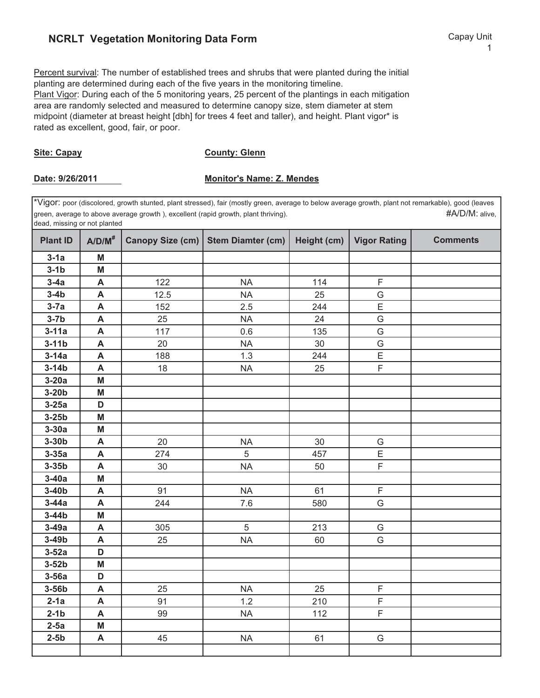## **NCRLT Vegetation Monitoring Data Form Capay Unit** Capay Unit

1

Percent survival: The number of established trees and shrubs that were planted during the initial planting are determined during each of the five years in the monitoring timeline. Plant Vigor: During each of the 5 monitoring years, 25 percent of the plantings in each mitigation area are randomly selected and measured to determine canopy size, stem diameter at stem midpoint (diameter at breast height [dbh] for trees 4 feet and taller), and height. Plant vigor\* is rated as excellent, good, fair, or poor.

#### **Site: Capay**

**County: Glenn**

#### Date: 9/26/2011 Monitor's Name: Z. Mendes

\*Vigor: poor (discolored, growth stunted, plant stressed), fair (mostly green, average to below average growth, plant not remarkable), good (leaves green, average to above average growth ), excellent (rapid growth, plant thriving). #A/D/M: alive, dead, missing or not planted

| <b>Plant ID</b> | $A/D/M^*$                 |      | Canopy Size (cm)   Stem Diamter (cm) | Height (cm) $\vert$ | <b>Vigor Rating</b> | <b>Comments</b> |
|-----------------|---------------------------|------|--------------------------------------|---------------------|---------------------|-----------------|
| $3-1a$          | M                         |      |                                      |                     |                     |                 |
| $3-1b$          | M                         |      |                                      |                     |                     |                 |
| $3-4a$          | A                         | 122  | <b>NA</b>                            | 114                 | $\mathsf F$         |                 |
| $3-4b$          | A                         | 12.5 | <b>NA</b>                            | 25                  | G                   |                 |
| $3-7a$          | A                         | 152  | 2.5                                  | 244                 | E                   |                 |
| $3-7b$          | A                         | 25   | <b>NA</b>                            | 24                  | G                   |                 |
| $3-11a$         | $\boldsymbol{\mathsf{A}}$ | 117  | 0.6                                  | 135                 | G                   |                 |
| $3-11b$         | A                         | 20   | <b>NA</b>                            | 30                  | G                   |                 |
| $3-14a$         | A                         | 188  | 1.3                                  | 244                 | E                   |                 |
| $3-14b$         | $\mathsf{A}$              | 18   | <b>NA</b>                            | 25                  | $\overline{F}$      |                 |
| $3-20a$         | M                         |      |                                      |                     |                     |                 |
| $3-20b$         | M                         |      |                                      |                     |                     |                 |
| $3-25a$         | D                         |      |                                      |                     |                     |                 |
| $3-25b$         | M                         |      |                                      |                     |                     |                 |
| $3-30a$         | M                         |      |                                      |                     |                     |                 |
| $3-30b$         | A                         | 20   | <b>NA</b>                            | 30                  | G                   |                 |
| $3-35a$         | A                         | 274  | 5                                    | 457                 | $\overline{E}$      |                 |
| $3-35b$         | A                         | 30   | <b>NA</b>                            | 50                  | $\overline{F}$      |                 |
| $3-40a$         | M                         |      |                                      |                     |                     |                 |
| $3-40b$         | A                         | 91   | <b>NA</b>                            | 61                  | $\mathsf F$         |                 |
| $3-44a$         | $\boldsymbol{\mathsf{A}}$ | 244  | 7.6                                  | 580                 | G                   |                 |
| $3-44b$         | M                         |      |                                      |                     |                     |                 |
| $3-49a$         | A                         | 305  | 5                                    | 213                 | G                   |                 |
| $3-49b$         | A                         | 25   | <b>NA</b>                            | 60                  | G                   |                 |
| $3-52a$         | D                         |      |                                      |                     |                     |                 |
| $3-52b$         | M                         |      |                                      |                     |                     |                 |
| $3-56a$         | D                         |      |                                      |                     |                     |                 |
| $3-56b$         | $\boldsymbol{\mathsf{A}}$ | 25   | <b>NA</b>                            | 25                  | $\mathsf F$         |                 |
| $2-1a$          | A                         | 91   | 1.2                                  | 210                 | $\mathsf F$         |                 |
| $2-1b$          | A                         | 99   | <b>NA</b>                            | 112                 | F                   |                 |
| $2-5a$          | M                         |      |                                      |                     |                     |                 |
| $2-5b$          | A                         | 45   | <b>NA</b>                            | 61                  | G                   |                 |
|                 |                           |      |                                      |                     |                     |                 |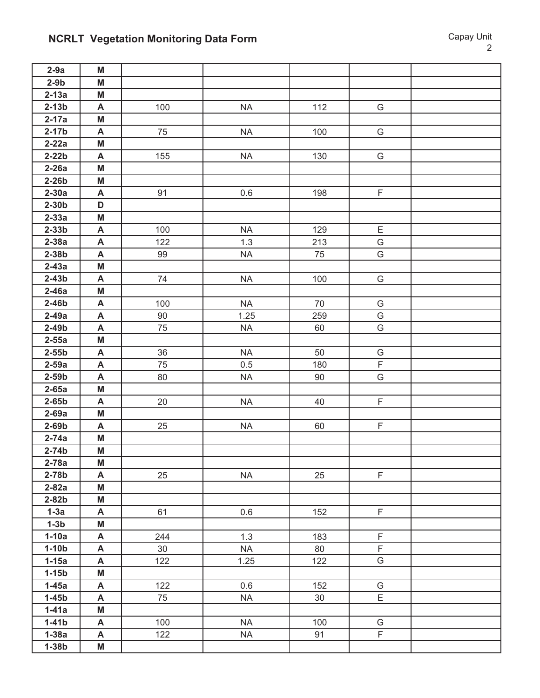# **NCRLT Vegetation Monitoring Data Form Capay Unit Capay Unit**

| $2-9a$             | M                         |     |           |     |                  |  |
|--------------------|---------------------------|-----|-----------|-----|------------------|--|
| $2-9b$             | M                         |     |           |     |                  |  |
| $2-13a$            | M                         |     |           |     |                  |  |
| $2-13b$            | A                         | 100 | <b>NA</b> | 112 | G                |  |
| $2-17a$            | M                         |     |           |     |                  |  |
| $2-17b$            | A                         | 75  | <b>NA</b> | 100 | G                |  |
| $2-22a$            | M                         |     |           |     |                  |  |
| $2-22b$            | A                         | 155 | <b>NA</b> | 130 | G                |  |
| $2-26a$            | M                         |     |           |     |                  |  |
| $2-26b$            | M                         |     |           |     |                  |  |
| $2-30a$            | $\mathsf{A}$              | 91  | 0.6       | 198 | $\mathsf F$      |  |
| $2-30b$            | D                         |     |           |     |                  |  |
| $2-33a$            | M                         |     |           |     |                  |  |
| $2-33b$            | A                         | 100 | <b>NA</b> | 129 | E                |  |
| $2-38a$            | A                         | 122 | 1.3       | 213 | G                |  |
| $2-38b$            | A                         | 99  | <b>NA</b> | 75  | G                |  |
| $2-43a$            | M                         |     |           |     |                  |  |
| $2-43b$            | $\mathsf{A}$              | 74  | <b>NA</b> | 100 | G                |  |
| $2-46a$            | M                         |     |           |     |                  |  |
| $2-46b$            | A                         | 100 | <b>NA</b> | 70  | G                |  |
| $2-49a$            | A                         | 90  | 1.25      | 259 | G                |  |
| $2-49b$            | A                         | 75  | <b>NA</b> | 60  | G                |  |
| $2-55a$            | M                         |     |           |     |                  |  |
| $2-55b$            | A                         | 36  | <b>NA</b> | 50  | G                |  |
| $2-59a$            | $\boldsymbol{\mathsf{A}}$ | 75  | 0.5       | 180 | $\mathsf F$      |  |
| $2-59b$            | A                         | 80  | <b>NA</b> | 90  | G                |  |
| $2-65a$            | M                         |     |           |     |                  |  |
| $2-65b$            | A                         | 20  | <b>NA</b> | 40  | F                |  |
| $2-69a$            | M                         |     |           |     |                  |  |
| $2-69b$            | A                         | 25  | <b>NA</b> | 60  | F                |  |
| $2-74a$            | M                         |     |           |     |                  |  |
| $2-74b$            | M                         |     |           |     |                  |  |
| $2-78a$            | M                         |     |           |     |                  |  |
| $2-78b$            | A                         | 25  | <b>NA</b> | 25  | F                |  |
| $2-82a$            | M                         |     |           |     |                  |  |
| $2-82b$            | M                         |     |           |     |                  |  |
| $1-3a$             | A                         | 61  | 0.6       | 152 | F                |  |
| $1-3b$             | M                         |     |           |     |                  |  |
| $1-10a$            | A                         | 244 | 1.3       | 183 | F<br>$\mathsf F$ |  |
| $1-10b$            | A                         | 30  | <b>NA</b> | 80  | $\overline{G}$   |  |
| $1-15a$            | A                         | 122 | 1.25      | 122 |                  |  |
| $1-15b$            | M<br>A                    |     | 0.6       |     |                  |  |
| $1-45a$            |                           | 122 |           | 152 | G                |  |
| $1-45b$<br>$1-41a$ | A<br>M                    | 75  | <b>NA</b> | 30  | E                |  |
| $1-41b$            | A                         | 100 | <b>NA</b> | 100 | G                |  |
| $1-38a$            | A                         | 122 | NA        | 91  | $\overline{F}$   |  |
|                    |                           |     |           |     |                  |  |
| $1-38b$            | M                         |     |           |     |                  |  |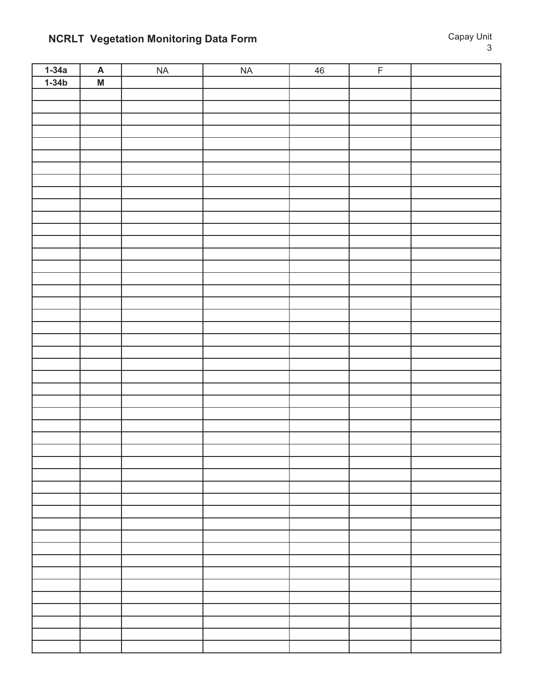# **NCRLT Vegetation Monitoring Data Form Capay Unit Capay Unit**

| $1-34a$ | $\overline{\mathsf{A}}$ | NA | NA | 46 | $\overline{F}$ |  |
|---------|-------------------------|----|----|----|----------------|--|
| $1-34b$ | $\overline{M}$          |    |    |    |                |  |
|         |                         |    |    |    |                |  |
|         |                         |    |    |    |                |  |
|         |                         |    |    |    |                |  |
|         |                         |    |    |    |                |  |
|         |                         |    |    |    |                |  |
|         |                         |    |    |    |                |  |
|         |                         |    |    |    |                |  |
|         |                         |    |    |    |                |  |
|         |                         |    |    |    |                |  |
|         |                         |    |    |    |                |  |
|         |                         |    |    |    |                |  |
|         |                         |    |    |    |                |  |
|         |                         |    |    |    |                |  |
|         |                         |    |    |    |                |  |
|         |                         |    |    |    |                |  |
|         |                         |    |    |    |                |  |
|         |                         |    |    |    |                |  |
|         |                         |    |    |    |                |  |
|         |                         |    |    |    |                |  |
|         |                         |    |    |    |                |  |
|         |                         |    |    |    |                |  |
|         |                         |    |    |    |                |  |
|         |                         |    |    |    |                |  |
|         |                         |    |    |    |                |  |
|         |                         |    |    |    |                |  |
|         |                         |    |    |    |                |  |
|         |                         |    |    |    |                |  |
|         |                         |    |    |    |                |  |
|         |                         |    |    |    |                |  |
|         |                         |    |    |    |                |  |
|         |                         |    |    |    |                |  |
|         |                         |    |    |    |                |  |
|         |                         |    |    |    |                |  |
|         |                         |    |    |    |                |  |
|         |                         |    |    |    |                |  |
|         |                         |    |    |    |                |  |
|         |                         |    |    |    |                |  |
|         |                         |    |    |    |                |  |
|         |                         |    |    |    |                |  |
|         |                         |    |    |    |                |  |
|         |                         |    |    |    |                |  |
|         |                         |    |    |    |                |  |
|         |                         |    |    |    |                |  |
|         |                         |    |    |    |                |  |
|         |                         |    |    |    |                |  |
|         |                         |    |    |    |                |  |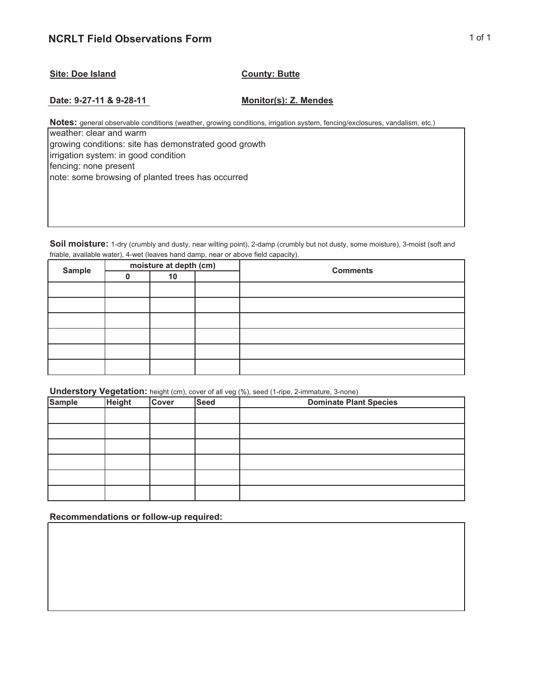#### **Site: Doe Island County: Butte**

**Date: 9-27-11 & 9-28-11 Monitor(s): Z. Mendes**

**Notes:** general observable conditions (weather, growing conditions, irrigation system, fencing/exclosures, vandalism, etc.)

weather: clear and warm growing conditions: site has demonstrated good growth irrigation system: in good condition fencing: none present note: some browsing of planted trees has occurred

**Soil moisture:** 1-dry (crumbly and dusty, near wilting point), 2-damp (crumbly but not dusty, some moisture), 3-moist (soft and friable, available water), 4-wet (leaves hand damp, near or above field capacity).

| <b>Sample</b> | moisture at depth (cm) | <b>Comments</b> |  |  |
|---------------|------------------------|-----------------|--|--|
|               | 10                     |                 |  |  |
|               |                        |                 |  |  |
|               |                        |                 |  |  |
|               |                        |                 |  |  |
|               |                        |                 |  |  |
|               |                        |                 |  |  |
|               |                        |                 |  |  |

**Understory Vegetation:** height (cm), cover of all veg (%), seed (1-ripe, 2-immature, 3-none)

| <b>Sample</b> | <b>Height</b> | <b>Cover</b> | <b>Seed</b> | <b>Dominate Plant Species</b> |
|---------------|---------------|--------------|-------------|-------------------------------|
|               |               |              |             |                               |
|               |               |              |             |                               |
|               |               |              |             |                               |
|               |               |              |             |                               |
|               |               |              |             |                               |
|               |               |              |             |                               |

**Recommendations or follow-up required:**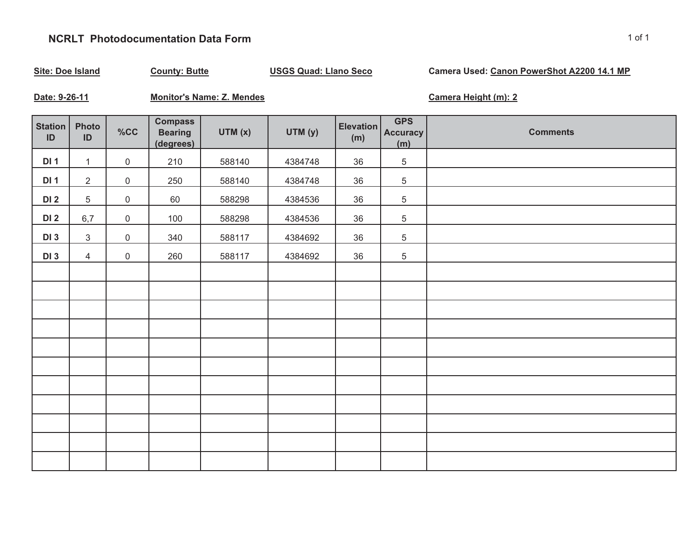## **NCRLT Photodocumentation Data Form**

| <b>Site: Doe Island</b><br><b>County: Butte</b> |                |                     | <b>USGS Quad: Llano Seco</b>                  |                                  |         | Camera Used: Canon PowerShot A2200 14.1 MP |                                      |                      |
|-------------------------------------------------|----------------|---------------------|-----------------------------------------------|----------------------------------|---------|--------------------------------------------|--------------------------------------|----------------------|
| Date: 9-26-11                                   |                |                     |                                               | <b>Monitor's Name: Z. Mendes</b> |         |                                            |                                      | Camera Height (m): 2 |
| Station<br>ID                                   | Photo<br>ID    | %CC                 | <b>Compass</b><br><b>Bearing</b><br>(degrees) | UTM(x)                           | UTM (y) | Elevation<br>(m)                           | <b>GPS</b><br><b>Accuracy</b><br>(m) | <b>Comments</b>      |
| DI <sub>1</sub>                                 | $\mathbf{1}$   | 0                   | 210                                           | 588140                           | 4384748 | 36                                         | 5                                    |                      |
| DI <sub>1</sub>                                 | $\mathbf{2}$   | 0                   | 250                                           | 588140                           | 4384748 | 36                                         | $\,$ 5 $\,$                          |                      |
| DI <sub>2</sub>                                 | 5              | $\mathsf{O}\xspace$ | 60                                            | 588298                           | 4384536 | 36                                         | $\sqrt{5}$                           |                      |
| <b>DI 2</b>                                     | 6,7            | $\mathsf{O}\xspace$ | 100                                           | 588298                           | 4384536 | 36                                         | 5                                    |                      |
| <b>DI3</b>                                      | $\mathfrak{S}$ | $\mathsf{O}\xspace$ | 340                                           | 588117                           | 4384692 | 36                                         | 5                                    |                      |
| <b>DI3</b>                                      | $\overline{4}$ | 0                   | 260                                           | 588117                           | 4384692 | 36                                         | $\,$ 5 $\,$                          |                      |
|                                                 |                |                     |                                               |                                  |         |                                            |                                      |                      |
|                                                 |                |                     |                                               |                                  |         |                                            |                                      |                      |
|                                                 |                |                     |                                               |                                  |         |                                            |                                      |                      |
|                                                 |                |                     |                                               |                                  |         |                                            |                                      |                      |
|                                                 |                |                     |                                               |                                  |         |                                            |                                      |                      |
|                                                 |                |                     |                                               |                                  |         |                                            |                                      |                      |
|                                                 |                |                     |                                               |                                  |         |                                            |                                      |                      |
|                                                 |                |                     |                                               |                                  |         |                                            |                                      |                      |
|                                                 |                |                     |                                               |                                  |         |                                            |                                      |                      |
|                                                 |                |                     |                                               |                                  |         |                                            |                                      |                      |
|                                                 |                |                     |                                               |                                  |         |                                            |                                      |                      |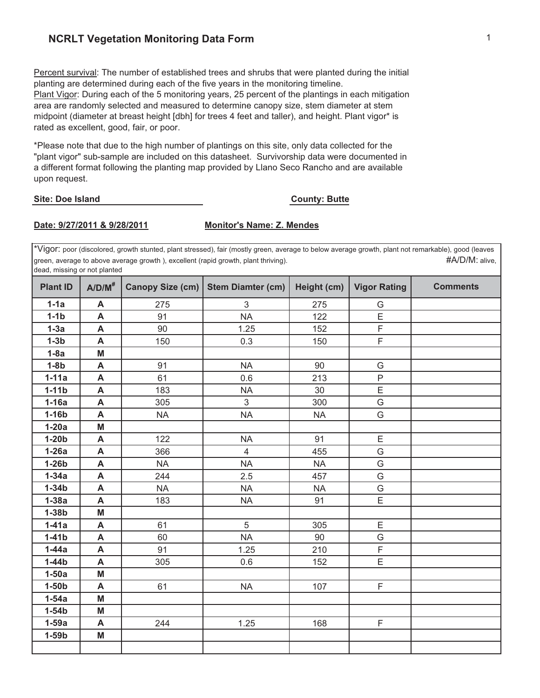### **NCRLT Vegetation Monitoring Data Form** 1 **1**

Percent survival: The number of established trees and shrubs that were planted during the initial planting are determined during each of the five years in the monitoring timeline. Plant Vigor: During each of the 5 monitoring years, 25 percent of the plantings in each mitigation area are randomly selected and measured to determine canopy size, stem diameter at stem midpoint (diameter at breast height [dbh] for trees 4 feet and taller), and height. Plant vigor\* is rated as excellent, good, fair, or poor.

\*Please note that due to the high number of plantings on this site, only data collected for the "plant vigor" sub-sample are included on this datasheet. Survivorship data were documented in a different format following the planting map provided by Llano Seco Rancho and are available upon request.

#### **Site: Doe Island**

#### **County: Butte**

#### **Date: 9/27/2011 & 9/28/2011 Monitor's Name: Z. Mendes**

\*Vigor: poor (discolored, growth stunted, plant stressed), fair (mostly green, average to below average growth, plant not remarkable), good (leaves green, average to above average growth ), excellent (rapid growth, plant thriving).  $\#A/D/M$ : alive, dead, missing or not planted

| <b>Plant ID</b> | $A/D/M^*$                 | Canopy Size (cm) | <b>Stem Diamter (cm)</b>  | Height (cm) | <b>Vigor Rating</b> | <b>Comments</b> |
|-----------------|---------------------------|------------------|---------------------------|-------------|---------------------|-----------------|
| $1-1a$          | A                         | 275              | $\ensuremath{\mathsf{3}}$ | 275         | G                   |                 |
| $1-1b$          | A                         | 91               | <b>NA</b>                 | 122         | E                   |                 |
| $1-3a$          | A                         | 90               | 1.25                      | 152         | F                   |                 |
| $1-3b$          | A                         | 150              | 0.3                       | 150         | $\mathsf F$         |                 |
| $1-8a$          | M                         |                  |                           |             |                     |                 |
| $1-8b$          | A                         | 91               | <b>NA</b>                 | 90          | G                   |                 |
| $1-11a$         | A                         | 61               | 0.6                       | 213         | $\mathsf P$         |                 |
| $1-11b$         | A                         | 183              | <b>NA</b>                 | 30          | $\mathsf E$         |                 |
| $1-16a$         | A                         | 305              | 3                         | 300         | G                   |                 |
| $1-16b$         | A                         | <b>NA</b>        | <b>NA</b>                 | <b>NA</b>   | G                   |                 |
| $1-20a$         | M                         |                  |                           |             |                     |                 |
| $1-20b$         | A                         | 122              | <b>NA</b>                 | 91          | E                   |                 |
| $1-26a$         | A                         | 366              | $\overline{4}$            | 455         | G                   |                 |
| $1-26b$         | $\boldsymbol{\mathsf{A}}$ | <b>NA</b>        | <b>NA</b>                 | <b>NA</b>   | G                   |                 |
| $1-34a$         | A                         | 244              | 2.5                       | 457         | G                   |                 |
| $1-34b$         | A                         | <b>NA</b>        | <b>NA</b>                 | <b>NA</b>   | G                   |                 |
| $1-38a$         | A                         | 183              | <b>NA</b>                 | 91          | $\overline{E}$      |                 |
| $1-38b$         | M                         |                  |                           |             |                     |                 |
| $1-41a$         | A                         | 61               | 5                         | 305         | E                   |                 |
| $1-41b$         | $\boldsymbol{\mathsf{A}}$ | 60               | <b>NA</b>                 | 90          | G                   |                 |
| $1-44a$         | A                         | 91               | 1.25                      | 210         | $\mathsf F$         |                 |
| $1-44b$         | $\boldsymbol{\mathsf{A}}$ | 305              | 0.6                       | 152         | $\mathsf E$         |                 |
| $1-50a$         | M                         |                  |                           |             |                     |                 |
| $1-50b$         | A                         | 61               | <b>NA</b>                 | 107         | F                   |                 |
| $1-54a$         | M                         |                  |                           |             |                     |                 |
| $1-54b$         | M                         |                  |                           |             |                     |                 |
| $1-59a$         | A                         | 244              | 1.25                      | 168         | $\mathsf F$         |                 |
| $1-59b$         | M                         |                  |                           |             |                     |                 |
|                 |                           |                  |                           |             |                     |                 |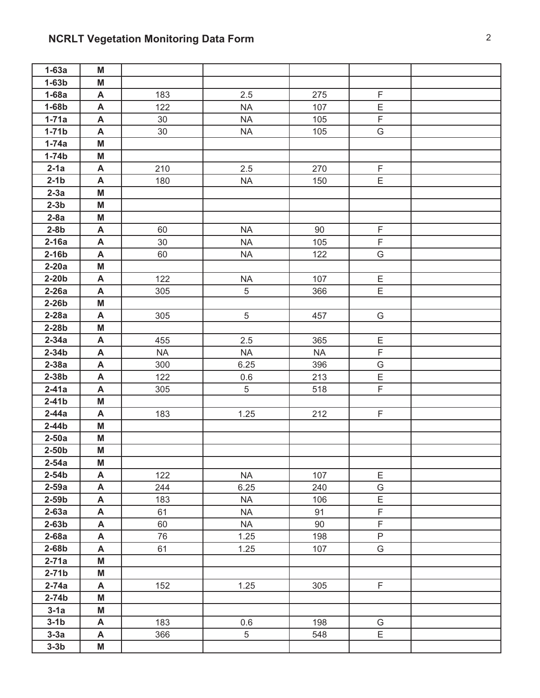# **NCRLT Vegetation Monitoring Data Form** 2 2

| $1-63a$            | M      |           |                   |           |                            |  |
|--------------------|--------|-----------|-------------------|-----------|----------------------------|--|
| $1-63b$            | M      |           |                   |           |                            |  |
| $1-68a$            | A      | 183       | 2.5               | 275       | $\mathsf F$                |  |
| $1-68b$            | A      | 122       | <b>NA</b>         | 107       | E                          |  |
| $1-71a$            | A      | 30        | <b>NA</b>         | 105       | $\mathsf F$                |  |
| $1-71b$            | A      | 30        | <b>NA</b>         | 105       | G                          |  |
| $1-74a$            | M      |           |                   |           |                            |  |
| $1-74b$            | M      |           |                   |           |                            |  |
| $2-1a$             | A      | 210       | 2.5               | 270       | F                          |  |
| $2-1b$             | A      | 180       | <b>NA</b>         | 150       | $\overline{E}$             |  |
| $2-3a$             | M      |           |                   |           |                            |  |
| $2-3b$             | M      |           |                   |           |                            |  |
| $2-8a$             | M      |           |                   |           |                            |  |
| $2-8b$             | A      | 60        | <b>NA</b>         | 90        | $\mathsf F$                |  |
| $2-16a$            | A      | 30        | <b>NA</b>         | 105       | $\mathsf F$                |  |
| $2-16b$            | A      | 60        | NA                | 122       | G                          |  |
| $2-20a$            | M      |           |                   |           |                            |  |
| $2-20b$            | A      | 122       | <b>NA</b>         | 107       | Ε                          |  |
| $2-26a$            | A      | 305       | 5                 | 366       | E                          |  |
| $2-26b$            | M      |           |                   |           |                            |  |
| $2-28a$            | A      | 305       | $5\,$             | 457       | G                          |  |
| $2-28b$            | M      |           |                   |           |                            |  |
| $2-34a$            | A      | 455       | 2.5               | 365       | E                          |  |
| $2-34b$            | A      | <b>NA</b> | <b>NA</b>         | <b>NA</b> | $\overline{F}$             |  |
| $2-38a$            | A      | 300       | 6.25              | 396       | G                          |  |
| $2-38b$            | A      | 122       | 0.6               | 213       | E                          |  |
| $2-41a$            | A      | 305       | 5                 | 518       | F                          |  |
| $2-41b$            | M      |           |                   |           |                            |  |
| $2-44a$            | A      | 183       | 1.25              | 212       | F                          |  |
| $2-44b$            | M      |           |                   |           |                            |  |
| $2-50a$            | M      |           |                   |           |                            |  |
| $2-50b$            | M      |           |                   |           |                            |  |
| $2-54a$            | M      |           |                   |           |                            |  |
| $2-54b$            | A      | 122       | <b>NA</b>         | 107       | E                          |  |
| $2-59a$            | A      | 244       | 6.25              | 240       | G                          |  |
| $2-59b$            | A      | 183       | <b>NA</b>         | 106       | $\mathsf E$<br>$\mathsf F$ |  |
| $2-63a$<br>$2-63b$ | A      | 61<br>60  | <b>NA</b>         | 91<br>90  | F                          |  |
| $2-68a$            | A<br>A | 76        | <b>NA</b><br>1.25 | 198       | $\mathsf{P}$               |  |
| $2-68b$            | A      | 61        | 1.25              | 107       | G                          |  |
| $2-71a$            | M      |           |                   |           |                            |  |
| $2-71b$            | M      |           |                   |           |                            |  |
| $2-74a$            | A      | 152       | 1.25              | 305       | F                          |  |
| $2-74b$            | M      |           |                   |           |                            |  |
| $3-1a$             | M      |           |                   |           |                            |  |
| $3-1b$             | A      | 183       | 0.6               | 198       | G                          |  |
| $3-3a$             | A      | 366       | $\,$ 5 $\,$       | 548       | E                          |  |
| $3-3b$             | M      |           |                   |           |                            |  |
|                    |        |           |                   |           |                            |  |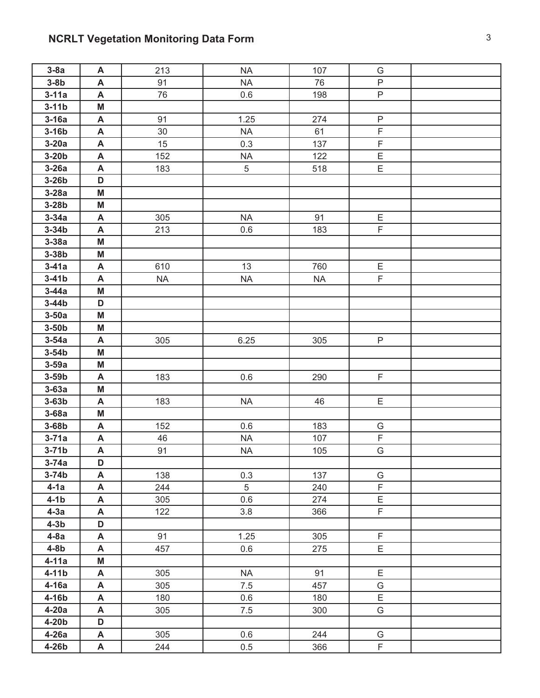# **NCRLT Vegetation Monitoring Data Form** 3 3

| $3-8a$    | A                         | 213       | <b>NA</b> | 107       | G              |  |
|-----------|---------------------------|-----------|-----------|-----------|----------------|--|
| $3-8b$    | A                         | 91        | <b>NA</b> | 76        | $\mathsf{P}$   |  |
| $3-11a$   | A                         | 76        | 0.6       | 198       | P              |  |
| $3-11b$   | M                         |           |           |           |                |  |
| $3-16a$   | A                         | 91        | 1.25      | 274       | $\sf P$        |  |
| $3-16b$   | A                         | 30        | <b>NA</b> | 61        | $\overline{F}$ |  |
| $3-20a$   | $\boldsymbol{\mathsf{A}}$ | 15        | 0.3       | 137       | $\mathsf F$    |  |
| $3-20b$   | A                         | 152       | <b>NA</b> | 122       | E              |  |
| $3-26a$   | A                         | 183       | 5         | 518       | E              |  |
| $3-26b$   | D                         |           |           |           |                |  |
| $3-28a$   | M                         |           |           |           |                |  |
| $3-28b$   | M                         |           |           |           |                |  |
| $3-34a$   | A                         | 305       | $\sf NA$  | 91        | $\mathsf E$    |  |
| $3-34b$   | A                         | 213       | 0.6       | 183       | $\mathsf F$    |  |
| $3-38a$   | M                         |           |           |           |                |  |
| $3-38b$   | M                         |           |           |           |                |  |
| $3-41a$   | A                         | 610       | 13        | 760       | Е              |  |
| $3-41b$   | A                         | <b>NA</b> | <b>NA</b> | <b>NA</b> | F              |  |
| $3-44a$   | M                         |           |           |           |                |  |
| $3-44b$   | D                         |           |           |           |                |  |
| $3-50a$   | M                         |           |           |           |                |  |
| $3-50b$   | M                         |           |           |           |                |  |
| $3-54a$   | A                         | 305       | 6.25      | 305       | P              |  |
| $3-54b$   | M                         |           |           |           |                |  |
| $3-59a$   | M                         |           |           |           |                |  |
| $3-59b$   | A                         | 183       | 0.6       | 290       | $\mathsf F$    |  |
| $3-63a$   | M                         |           |           |           |                |  |
| $3-63b$   | A                         | 183       | $\sf NA$  | 46        | E              |  |
| $3-68a$   | M                         |           |           |           |                |  |
| $3-68b$   | A                         | 152       | 0.6       | 183       | G              |  |
| $3-71a$   | A                         | 46        | <b>NA</b> | 107       | $\mathsf F$    |  |
| $3-71b$   | A                         | 91        | <b>NA</b> | 105       | G              |  |
| $3 - 74a$ | D                         |           |           |           |                |  |
| $3-74b$   | $\boldsymbol{\mathsf{A}}$ | 138       | 0.3       | 137       | G              |  |
| $4-1a$    | A                         | 244       | 5         | 240       | F              |  |
| $4-1b$    | A                         | 305       | 0.6       | 274       | $\mathsf E$    |  |
| $4-3a$    | A                         | 122       | 3.8       | 366       | F              |  |
| $4-3b$    | D                         |           |           |           |                |  |
| $4-8a$    | A                         | 91        | 1.25      | 305       | F              |  |
| $4-8b$    | A                         | 457       | 0.6       | 275       | E              |  |
| $4-11a$   | M                         |           |           |           |                |  |
| $4-11b$   | A                         | 305       | <b>NA</b> | 91        | E              |  |
| $4-16a$   | A                         | 305       | 7.5       | 457       | G              |  |
| $4-16b$   | A                         | 180       | 0.6       | 180       | Ε              |  |
| $4-20a$   | A                         | 305       | $7.5$     | 300       | G              |  |
| $4-20b$   | D                         |           |           |           |                |  |
| $4-26a$   | A                         | 305       | 0.6       | 244       | G              |  |
| 4-26b     | A                         | 244       | 0.5       | 366       | $\mathsf F$    |  |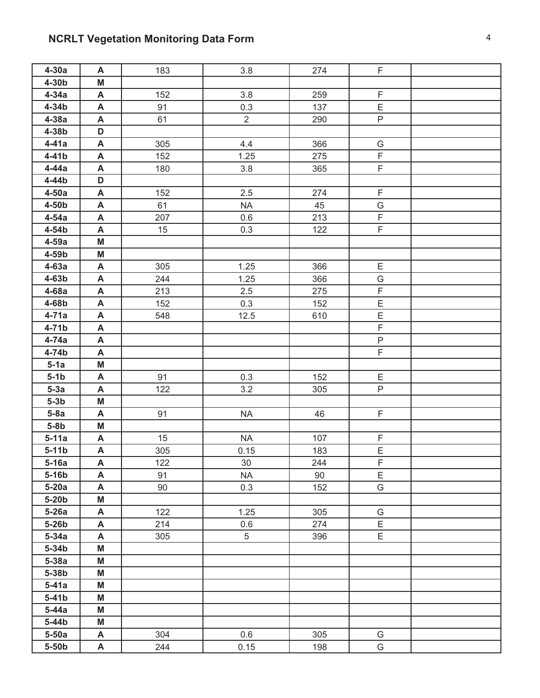## **NCRLT Vegetation Monitoring Data Form 1988 1999 12:33 13:44 THE RESERVITE BOOKS ASSESSMENT RESERVITE BOOKS ASSESSMENT RESERVITE BOOKS ASSESSMENT RESERVITE BOOKS AND THE RESERVITE BOOKS AND THE RESERVITE BOOKS ASSESSME**

| $4-30a$           | A                         | 183 | 3.8            | 274 | $\overline{F}$ |  |
|-------------------|---------------------------|-----|----------------|-----|----------------|--|
| $4-30b$           | M                         |     |                |     |                |  |
| $4-34a$           | A                         | 152 | 3.8            | 259 | $\mathsf F$    |  |
| $4-34b$           | $\boldsymbol{\mathsf{A}}$ | 91  | 0.3            | 137 | $\mathsf E$    |  |
| $4-38a$           | A                         | 61  | $\overline{2}$ | 290 | P              |  |
| 4-38b             | D                         |     |                |     |                |  |
| $4-41a$           | $\boldsymbol{\mathsf{A}}$ | 305 | 4.4            | 366 | G              |  |
| $4-41b$           | A                         | 152 | 1.25           | 275 | $\mathsf F$    |  |
| $4-44a$           | A                         | 180 | 3.8            | 365 | F              |  |
| 4-44b             | D                         |     |                |     |                |  |
| $4-50a$           | A                         | 152 | 2.5            | 274 | F              |  |
| 4-50 <sub>b</sub> | A                         | 61  | <b>NA</b>      | 45  | G              |  |
| $4-54a$           | A                         | 207 | 0.6            | 213 | $\mathsf F$    |  |
| 4-54b             | A                         | 15  | 0.3            | 122 | $\mathsf F$    |  |
| $4-59a$           | M                         |     |                |     |                |  |
| 4-59b             | M                         |     |                |     |                |  |
| $4-63a$           | A                         | 305 | 1.25           | 366 | Ε              |  |
| $4-63b$           | A                         | 244 | 1.25           | 366 | G              |  |
| $4-68a$           | $\boldsymbol{\mathsf{A}}$ | 213 | 2.5            | 275 | $\overline{F}$ |  |
| 4-68b             | A                         | 152 | 0.3            | 152 | $\mathsf E$    |  |
| $4-71a$           | A                         | 548 | 12.5           | 610 | E              |  |
| $4-71b$           | A                         |     |                |     | $\mathsf F$    |  |
| 4-74a             | A                         |     |                |     | $\overline{P}$ |  |
| 4-74b             | A                         |     |                |     | $\mathsf F$    |  |
| $5-1a$            | M                         |     |                |     |                |  |
| $5-1b$            | A                         | 91  | 0.3            | 152 | E              |  |
| $5-3a$            | A                         | 122 | 3.2            | 305 | P              |  |
| $5-3b$            | M                         |     |                |     |                |  |
| $5-8a$            | A                         | 91  | <b>NA</b>      | 46  | F.             |  |
| $5-8b$            | M                         |     |                |     |                |  |
| $5-11a$           | A                         | 15  | <b>NA</b>      | 107 | F              |  |
| $5-11b$           | A                         | 305 | 0.15           | 183 | E              |  |
| $5-16a$           | A                         | 122 | 30             | 244 | F              |  |
| $5-16b$           | A                         | 91  | <b>NA</b>      | 90  | E              |  |
| $5-20a$           | A                         | 90  | 0.3            | 152 | G              |  |
| $5-20b$           | M                         |     |                |     |                |  |
| $5-26a$           | A                         | 122 | 1.25           | 305 | G              |  |
| 5-26b             | A                         | 214 | 0.6            | 274 | E              |  |
| $5-34a$           | A                         | 305 | 5              | 396 | E              |  |
| $5-34b$           | M                         |     |                |     |                |  |
| $5-38a$           | M                         |     |                |     |                |  |
| 5-38b             | M                         |     |                |     |                |  |
| $5-41a$           | M                         |     |                |     |                |  |
| $5-41b$           | M                         |     |                |     |                |  |
| $5-44a$           | M                         |     |                |     |                |  |
| $5-44b$           | M                         |     |                |     |                |  |
| $5-50a$           | A                         | 304 | 0.6            | 305 | G              |  |
| $5-50b$           | A                         | 244 | 0.15           | 198 | G              |  |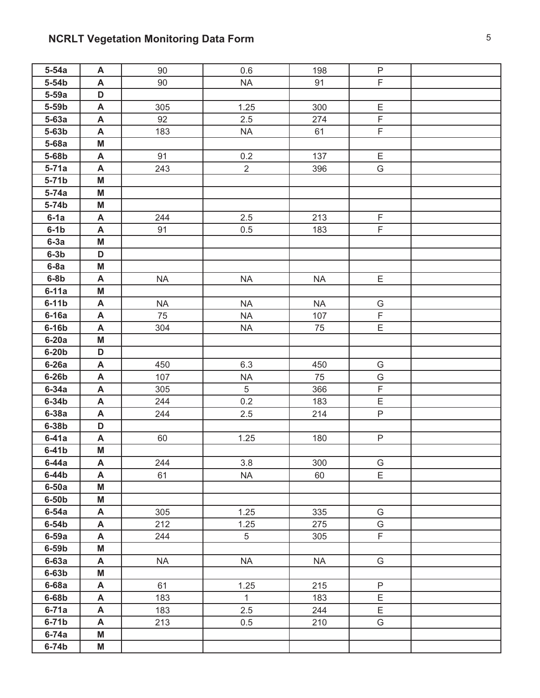# **NCRLT Vegetation Monitoring Data Form** 5

| $5-54a$            | A      | 90        | 0.6            | 198       | P                |  |
|--------------------|--------|-----------|----------------|-----------|------------------|--|
| $5-54b$            | A      | 90        | <b>NA</b>      | 91        | F.               |  |
| $5-59a$            | D      |           |                |           |                  |  |
| 5-59 <sub>b</sub>  | A      | 305       | 1.25           | 300       | $\mathsf E$      |  |
| $5-63a$            | A      | 92        | 2.5            | 274       | $\mathsf F$      |  |
| $5-63b$            | A      | 183       | <b>NA</b>      | 61        | F.               |  |
| $5-68a$            | M      |           |                |           |                  |  |
| 5-68b              | A      | 91        | 0.2            | 137       | Ε                |  |
| $5-71a$            | A      | 243       | $\overline{2}$ | 396       | G                |  |
| $5-71b$            | M      |           |                |           |                  |  |
| $5-74a$            | M      |           |                |           |                  |  |
| $5-74b$            | M      |           |                |           |                  |  |
| $6-1a$             | A      | 244       | 2.5            | 213       | F                |  |
| $6-1b$             | A      | 91        | 0.5            | 183       | $\mathsf F$      |  |
| $6-3a$             | M      |           |                |           |                  |  |
| $6-3b$             | D      |           |                |           |                  |  |
| $6-8a$             | M      |           |                |           |                  |  |
| $6-8b$             | A      | <b>NA</b> | <b>NA</b>      | <b>NA</b> | E                |  |
| $6-11a$            | M      |           |                |           |                  |  |
| $6-11b$            | A      | <b>NA</b> | <b>NA</b>      | <b>NA</b> | G                |  |
| $6-16a$            | A      | 75        | <b>NA</b>      | 107       | $\mathsf F$      |  |
| $6-16b$            | A      | 304       | <b>NA</b>      | 75        | Ε                |  |
| $6-20a$            | M      |           |                |           |                  |  |
| $6-20b$            | D      |           |                |           |                  |  |
| $6-26a$            | A      | 450       | 6.3            | 450       | G                |  |
| $6-26b$            | A      | 107       | $\sf NA$       | 75        | G                |  |
| $6-34a$            | A      | 305       | 5              | 366       | $\mathsf F$      |  |
| $6-34b$            | A      | 244       | 0.2            | 183       | E                |  |
| $6-38a$            | A      | 244       | 2.5            | 214       | $\mathsf{P}$     |  |
| $6-38b$            | D      |           |                |           |                  |  |
| $6-41a$            | A      | 60        | 1.25           | 180       | P                |  |
| $6-41b$            | M      |           |                |           |                  |  |
| $6-44a$            | A      | 244       | 3.8            | 300       | G                |  |
| $6-44b$            | A      | 61        | <b>NA</b>      | 60        | E                |  |
| $6-50a$            | M      |           |                |           |                  |  |
| $6-50b$            | M      |           |                |           |                  |  |
| $6-54a$            | A      | 305       | 1.25           | 335       | G                |  |
| $6-54b$<br>$6-59a$ | A      | 212       | 1.25<br>5      | 275       | G<br>$\mathsf F$ |  |
| $6-59b$            | A<br>M | 244       |                | 305       |                  |  |
|                    |        | <b>NA</b> | $\sf NA$       | <b>NA</b> | G                |  |
| $6-63a$<br>$6-63b$ | A<br>M |           |                |           |                  |  |
| $6-68a$            | A      | 61        | 1.25           | 215       | P                |  |
| $6-68b$            | A      | 183       | $\mathbf{1}$   | 183       | E                |  |
| $6-71a$            | A      | 183       | 2.5            | 244       | E                |  |
| $6-71b$            | A      | 213       | 0.5            | 210       | G                |  |
| $6-74a$            | M      |           |                |           |                  |  |
| $6-74b$            | M      |           |                |           |                  |  |
|                    |        |           |                |           |                  |  |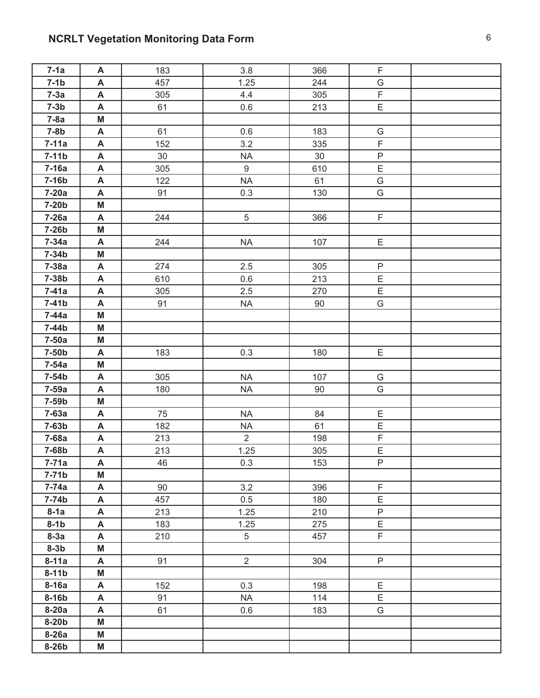# **NCRLT Vegetation Monitoring Data Form** 6

| $7-1a$            | A | 183 | 3.8            | 366 | F              |  |
|-------------------|---|-----|----------------|-----|----------------|--|
| $7-1b$            | A | 457 | 1.25           | 244 | G              |  |
| $7-3a$            | A | 305 | 4.4            | 305 | $\mathsf F$    |  |
| $7-3b$            | A | 61  | 0.6            | 213 | E              |  |
| $7-8a$            | M |     |                |     |                |  |
| $7-8b$            | A | 61  | 0.6            | 183 | G              |  |
| $7-11a$           | A | 152 | 3.2            | 335 | $\mathsf F$    |  |
| $7-11b$           | A | 30  | <b>NA</b>      | 30  | $\sf P$        |  |
| $7-16a$           | A | 305 | 9              | 610 | $\overline{E}$ |  |
| $7-16b$           | A | 122 | <b>NA</b>      | 61  | G              |  |
| $7-20a$           | A | 91  | 0.3            | 130 | G              |  |
| $7-20b$           | M |     |                |     |                |  |
| $7-26a$           | A | 244 | 5              | 366 | F              |  |
| 7-26b             | Μ |     |                |     |                |  |
| $7-34a$           | A | 244 | <b>NA</b>      | 107 | E              |  |
| $7-34b$           | M |     |                |     |                |  |
| $7-38a$           | A | 274 | 2.5            | 305 | $\mathsf{P}$   |  |
| 7-38b             | A | 610 | 0.6            | 213 | E              |  |
| $7-41a$           | A | 305 | 2.5            | 270 | E              |  |
| $7-41b$           | A | 91  | <b>NA</b>      | 90  | G              |  |
| $7-44a$           | M |     |                |     |                |  |
| 7-44b             | M |     |                |     |                |  |
| $7-50a$           | Μ |     |                |     |                |  |
| 7-50 <sub>b</sub> | A | 183 | 0.3            | 180 | E              |  |
| $7-54a$           | M |     |                |     |                |  |
| $7-54b$           | A | 305 | <b>NA</b>      | 107 | G              |  |
| $7-59a$           | A | 180 | $\sf NA$       | 90  | G              |  |
| 7-59 <sub>b</sub> | M |     |                |     |                |  |
| $7-63a$           | A | 75  | <b>NA</b>      | 84  | Ε              |  |
| $7-63b$           | A | 182 | <b>NA</b>      | 61  | $\mathsf E$    |  |
| 7-68a             | A | 213 | $\overline{2}$ | 198 | $\mathsf F$    |  |
| 7-68b             | A | 213 | 1.25           | 305 | E              |  |
| $7 - 71a$         | A | 46  | 0.3            | 153 | P              |  |
| $7-71b$           | M |     |                |     |                |  |
| $7-74a$           | A | 90  | 3.2            | 396 | F              |  |
| $7-74b$           | A | 457 | 0.5            | 180 | E              |  |
| $8-1a$            | A | 213 | 1.25           | 210 | P              |  |
| $8-1b$            | A | 183 | 1.25           | 275 | E              |  |
| $8-3a$            | A | 210 | 5              | 457 | F              |  |
| $8-3b$            | M |     |                |     |                |  |
| $8-11a$           | A | 91  | $\overline{2}$ | 304 | P              |  |
| $8-11b$           | M |     |                |     |                |  |
| $8-16a$           | A | 152 | 0.3            | 198 | E              |  |
| $8-16b$           | A | 91  | <b>NA</b>      | 114 | Ε              |  |
| $8-20a$           | A | 61  | 0.6            | 183 | G              |  |
| $8-20b$           | M |     |                |     |                |  |
| $8-26a$           | M |     |                |     |                |  |
| 8-26b             | M |     |                |     |                |  |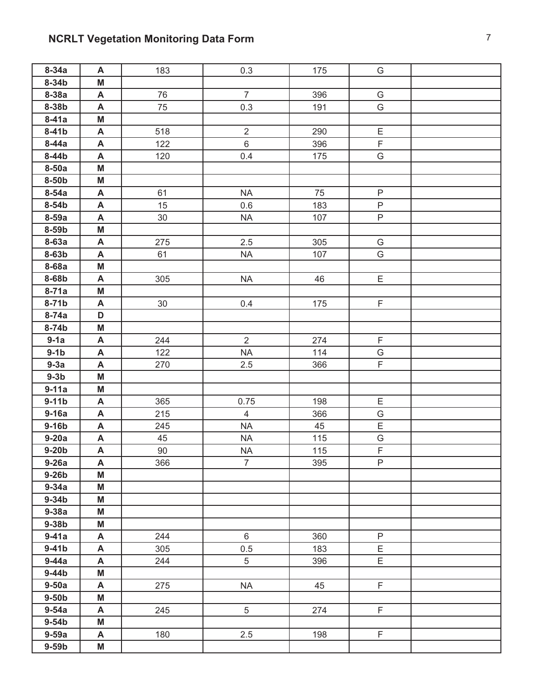# **NCRLT Vegetation Monitoring Data Form 7 7**

| $8-34a$            | A                         | 183    | 0.3            | 175 | G                       |  |
|--------------------|---------------------------|--------|----------------|-----|-------------------------|--|
| $8-34b$            | M                         |        |                |     |                         |  |
| 8-38a              | A                         | 76     | $\overline{7}$ | 396 | G                       |  |
| 8-38b              | A                         | 75     | 0.3            | 191 | G                       |  |
| $8-41a$            | M                         |        |                |     |                         |  |
| $8-41b$            | A                         | 518    | $\overline{2}$ | 290 | $\mathsf E$             |  |
| $8-44a$            | $\boldsymbol{\mathsf{A}}$ | 122    | $\,$ 6 $\,$    | 396 | $\overline{F}$          |  |
| $8-44b$            | A                         | 120    | 0.4            | 175 | G                       |  |
| $8-50a$            | M                         |        |                |     |                         |  |
| 8-50 <sub>b</sub>  | M                         |        |                |     |                         |  |
| $8-54a$            | A                         | 61     | <b>NA</b>      | 75  | $\mathsf{P}$            |  |
| 8-54b              | A                         | 15     | 0.6            | 183 | $\mathsf{P}$            |  |
| 8-59a              | A                         | $30\,$ | $\sf NA$       | 107 | $\sf P$                 |  |
| 8-59b              | M                         |        |                |     |                         |  |
| $8-63a$            | A                         | 275    | 2.5            | 305 | G                       |  |
| 8-63b              | A                         | 61     | $\sf NA$       | 107 | G                       |  |
| 8-68a              | M                         |        |                |     |                         |  |
| 8-68b              | A                         | 305    | <b>NA</b>      | 46  | E                       |  |
| $8-71a$            | M                         |        |                |     |                         |  |
| $8-71b$            | A                         | $30\,$ | 0.4            | 175 | F.                      |  |
| $8 - 74a$          | D                         |        |                |     |                         |  |
| 8-74b              | M                         |        |                |     |                         |  |
| $9-1a$             | A                         | 244    | $\overline{2}$ | 274 | $\overline{\mathsf{F}}$ |  |
| $9-1b$             | $\boldsymbol{\mathsf{A}}$ | 122    | <b>NA</b>      | 114 | G                       |  |
| $9-3a$             | A                         | 270    | 2.5            | 366 | F                       |  |
| $9-3b$             | M                         |        |                |     |                         |  |
| $9-11a$            | M                         |        |                |     |                         |  |
| $9-11b$            | A                         | 365    | 0.75           | 198 | $\mathsf E$             |  |
| $9-16a$            | A                         | 215    | $\overline{4}$ | 366 | G                       |  |
| $9-16b$            | A                         | 245    | <b>NA</b>      | 45  | $\mathsf E$             |  |
| $9-20a$            | A                         | 45     | <b>NA</b>      | 115 | G                       |  |
| $9-20b$            | A                         | 90     | <b>NA</b>      | 115 | $\overline{F}$          |  |
| $9-26a$            | A                         | 366    | 7              | 395 | P                       |  |
| $9-26b$            | M                         |        |                |     |                         |  |
| $9-34a$            | M                         |        |                |     |                         |  |
| $9-34b$<br>$9-38a$ | M<br>M                    |        |                |     |                         |  |
| $9-38b$            | M                         |        |                |     |                         |  |
| $9-41a$            | A                         | 244    | 6              | 360 | $\mathsf{P}$            |  |
| $9-41b$            | A                         | 305    | 0.5            | 183 | E                       |  |
| $9-44a$            | A                         | 244    | 5              | 396 | E                       |  |
| $9-44b$            | M                         |        |                |     |                         |  |
| $9-50a$            | A                         | 275    | <b>NA</b>      | 45  | F.                      |  |
| $9-50b$            | M                         |        |                |     |                         |  |
| $9-54a$            | A                         | 245    | 5              | 274 | F.                      |  |
| $9-54b$            | M                         |        |                |     |                         |  |
| $9-59a$            | A                         | 180    | 2.5            | 198 | F                       |  |
| $9-59b$            | M                         |        |                |     |                         |  |
|                    |                           |        |                |     |                         |  |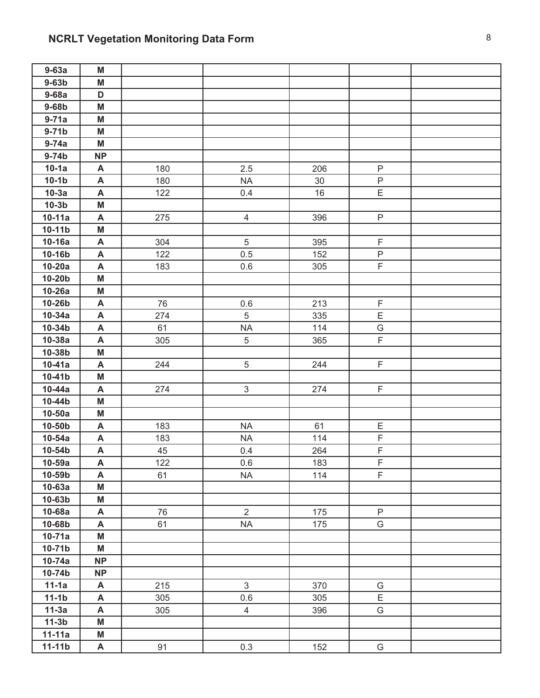| $9-63a$    | M         |     |                |        |                |  |
|------------|-----------|-----|----------------|--------|----------------|--|
| $9-63b$    | M         |     |                |        |                |  |
| $9-68a$    | D         |     |                |        |                |  |
| $9-68b$    | M         |     |                |        |                |  |
| $9-71a$    | M         |     |                |        |                |  |
| $9-71b$    | M         |     |                |        |                |  |
| $9-74a$    | M         |     |                |        |                |  |
| $9-74b$    | <b>NP</b> |     |                |        |                |  |
| $10-1a$    | A         | 180 | 2.5            | 206    | $\mathsf P$    |  |
| $10-1b$    | A         | 180 | <b>NA</b>      | $30\,$ | $\mathsf P$    |  |
| $10-3a$    | A         | 122 | 0.4            | 16     | E              |  |
| $10-3b$    | M         |     |                |        |                |  |
| $10-11a$   | A         | 275 | $\overline{4}$ | 396    | $\mathsf{P}$   |  |
| $10-11b$   | M         |     |                |        |                |  |
| $10-16a$   | A         | 304 | 5              | 395    | $\mathsf F$    |  |
| 10-16b     | A         | 122 | 0.5            | 152    | $\mathsf{P}$   |  |
| $10-20a$   | A         | 183 | 0.6            | 305    | $\overline{F}$ |  |
| $10-20b$   | M         |     |                |        |                |  |
| $10-26a$   | M         |     |                |        |                |  |
| 10-26b     | A         | 76  | 0.6            | 213    | F              |  |
| $10-34a$   | A         | 274 | 5              | 335    | E              |  |
| 10-34b     | A         | 61  | <b>NA</b>      | 114    | G              |  |
| 10-38a     | A         | 305 | 5              | 365    | F.             |  |
| 10-38b     | M         |     |                |        |                |  |
| $10-41a$   | A         | 244 | 5              | 244    | F.             |  |
| 10-41b     | M         |     |                |        |                |  |
| $10-44a$   | A         | 274 | $\mathfrak{S}$ | 274    | F              |  |
| 10-44b     | M         |     |                |        |                |  |
| $10-50a$   | M         |     |                |        |                |  |
| 10-50b     | A         | 183 | <b>NA</b>      | 61     | Ε              |  |
| $10-54a$   | A         | 183 | <b>NA</b>      | 114    | F              |  |
| 10-54b     | A         | 45  | 0.4            | 264    | F              |  |
| $10-59a$   | A         | 122 | 0.6            | 183    | F              |  |
| 10-59b     | A         | 61  | <b>NA</b>      | 114    | F.             |  |
| $10-63a$   | M         |     |                |        |                |  |
| 10-63b     | M         |     |                |        |                |  |
| 10-68a     | A         | 76  | $\overline{2}$ | 175    | $\mathsf{P}$   |  |
| 10-68b     | A         | 61  | <b>NA</b>      | 175    | G              |  |
| $10-71a$   | M         |     |                |        |                |  |
| $10-71b$   | M         |     |                |        |                |  |
| $10-74a$   | <b>NP</b> |     |                |        |                |  |
| 10-74b     | <b>NP</b> |     |                |        |                |  |
| $11-1a$    | A         | 215 | $\mathfrak{S}$ | 370    | G              |  |
| $11-1b$    | A         | 305 | 0.6            | 305    | E              |  |
| $11-3a$    | A         | 305 | $\overline{4}$ | 396    | G              |  |
| $11-3b$    | M         |     |                |        |                |  |
| $11 - 11a$ | M         |     |                |        |                |  |
| $11-11b$   | A         | 91  | 0.3            | 152    | G              |  |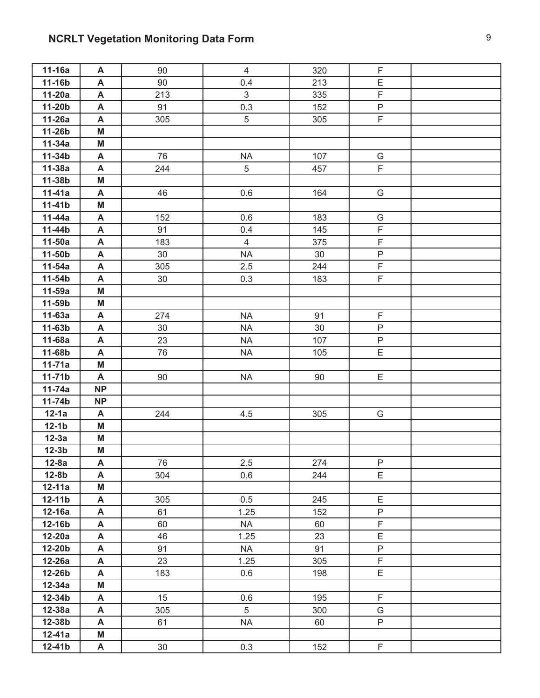# **NCRLT Vegetation Monitoring Data Form Property 10 and 20 years of 10 years of 10 years of 10 years of 10 years of 10 years of 10 years of 10 years of 10 years of 10 years of 10 years of 10 years of 10 years of 10 years**

| $11-16a$           | A         | 90       | $\overline{4}$    | 320      | F              |  |
|--------------------|-----------|----------|-------------------|----------|----------------|--|
| 11-16b             | A         | 90       | 0.4               | 213      | E              |  |
| $11-20a$           | A         | 213      | $\mathfrak{S}$    | 335      | $\mathsf F$    |  |
| $11-20b$           | A         | 91       | 0.3               | 152      | $\overline{P}$ |  |
| $11-26a$           | A         | 305      | 5                 | 305      | F.             |  |
| 11-26b             | M         |          |                   |          |                |  |
| $11-34a$           | M         |          |                   |          |                |  |
| 11-34b             | A         | 76       | <b>NA</b>         | 107      | G              |  |
| $11-38a$           | A         | 244      | 5                 | 457      | F              |  |
| 11-38b             | M         |          |                   |          |                |  |
| 11-41a             | A         | 46       | 0.6               | 164      | G              |  |
| $11-41b$           | M         |          |                   |          |                |  |
| 11-44a             | A         | 152      | 0.6               | 183      | G              |  |
| 11-44b             | A         | 91       | 0.4               | 145      | F              |  |
| $11-50a$           | A         | 183      | $\overline{4}$    | 375      | $\overline{F}$ |  |
| 11-50b             | A         | 30       | <b>NA</b>         | 30       | $\sf P$        |  |
| $11-54a$           | A         | 305      | 2.5               | 244      | F              |  |
| 11-54b             | A         | 30       | 0.3               | 183      | $\overline{F}$ |  |
| 11-59a             | M         |          |                   |          |                |  |
| 11-59b             | M         |          |                   |          |                |  |
| $11-63a$           | A         | 274      | <b>NA</b>         | 91       | F              |  |
| 11-63b             | A         | 30       | $\sf NA$          | 30       | $\sf P$        |  |
| 11-68a             | A         | 23       | <b>NA</b>         | 107      | $\sf P$        |  |
| 11-68b             | A         | 76       | <b>NA</b>         | 105      | E              |  |
| $11 - 71a$         | M         |          |                   |          |                |  |
| $11-71b$           | A         | 90       | <b>NA</b>         | 90       | E              |  |
| $11-74a$           | NP        |          |                   |          |                |  |
| 11-74b             | <b>NP</b> |          |                   |          |                |  |
| $12-1a$            | A         | 244      | 4.5               | 305      | G              |  |
| $12-1b$            | M         |          |                   |          |                |  |
| $12-3a$            | M         |          |                   |          |                |  |
| $12-3b$            | M         |          |                   |          |                |  |
| $12-8a$            | A         | 76       | 2.5               | 274      | P              |  |
| $12-8b$            | A         | 304      | 0.6               | 244      | E              |  |
| $12 - 11a$         | M         |          |                   |          |                |  |
| $12 - 11b$         | A         | 305      | 0.5               | 245      | Ε<br>P         |  |
| $12-16a$<br>12-16b | A         | 61<br>60 | 1.25              | 152      | $\mathsf F$    |  |
| $12-20a$           | A         |          | <b>NA</b>         | 60       | Ε              |  |
| 12-20b             | A<br>A    | 46<br>91 | 1.25<br><b>NA</b> | 23<br>91 | P              |  |
| $12-26a$           | A         | 23       | 1.25              | 305      | F              |  |
| 12-26b             | A         | 183      | 0.6               | 198      | E              |  |
| $12-34a$           | M         |          |                   |          |                |  |
| 12-34b             | A         | 15       | 0.6               | 195      | F              |  |
| $12-38a$           | A         | 305      | 5                 | 300      | G              |  |
| 12-38b             | A         | 61       | <b>NA</b>         | 60       | P              |  |
| $12 - 41a$         | M         |          |                   |          |                |  |
| $12-41b$           | A         | 30       | 0.3               | 152      | F.             |  |
|                    |           |          |                   |          |                |  |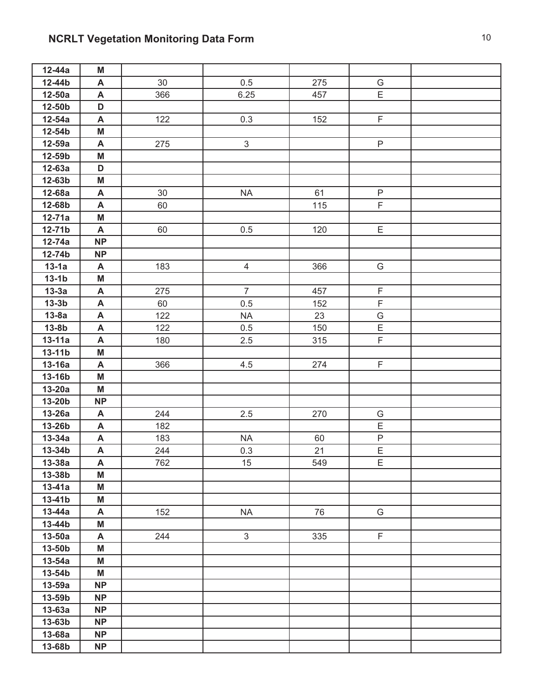# **NCRLT Vegetation Monitoring Data Form** 10 10

| 12-44a             | Μ                         |     |                |     |                |  |
|--------------------|---------------------------|-----|----------------|-----|----------------|--|
| 12-44b             | A                         | 30  | 0.5            | 275 | G              |  |
| $12-50a$           | A                         | 366 | 6.25           | 457 | E              |  |
| 12-50b             | D                         |     |                |     |                |  |
| 12-54a             | A                         | 122 | 0.3            | 152 | $\mathsf F$    |  |
| 12-54b             | M                         |     |                |     |                |  |
| 12-59a             | A                         | 275 | $\mathfrak{S}$ |     | $\mathsf{P}$   |  |
| 12-59b             | M                         |     |                |     |                |  |
| $12-63a$           | D                         |     |                |     |                |  |
| 12-63b             | M                         |     |                |     |                |  |
| 12-68a             | A                         | 30  | <b>NA</b>      | 61  | $\mathsf{P}$   |  |
| 12-68b             | A                         | 60  |                | 115 | F              |  |
| 12-71a             | M                         |     |                |     |                |  |
| 12-71b             | A                         | 60  | $0.5\,$        | 120 | E              |  |
| $12-74a$           | <b>NP</b>                 |     |                |     |                |  |
| 12-74b             | <b>NP</b>                 |     |                |     |                |  |
| $13-1a$            | A                         | 183 | $\overline{4}$ | 366 | G              |  |
| $13-1b$            | M                         |     |                |     |                |  |
| $13-3a$            | A                         | 275 | $\overline{7}$ | 457 | $\mathsf F$    |  |
| $13-3b$            | A                         | 60  | 0.5            | 152 | $\mathsf F$    |  |
| $13-8a$            | A                         | 122 | <b>NA</b>      | 23  | G              |  |
| $13-8b$            | A                         | 122 | 0.5            | 150 | $\mathsf E$    |  |
| $13-11a$           | A                         | 180 | 2.5            | 315 | $\mathsf F$    |  |
| $13-11b$           | M                         |     |                |     |                |  |
| $13-16a$           | A                         | 366 | 4.5            | 274 | $\mathsf F$    |  |
| 13-16b             | M                         |     |                |     |                |  |
| $13-20a$           | M                         |     |                |     |                |  |
| 13-20b             | <b>NP</b>                 |     |                |     |                |  |
| 13-26a             | A                         | 244 | 2.5            | 270 | G              |  |
| 13-26b             | A                         | 182 |                |     | $\mathsf E$    |  |
| $13-34a$           | A                         | 183 | <b>NA</b>      | 60  | $\sf P$        |  |
| 13-34b             | A                         | 244 | 0.3            | 21  | $\overline{E}$ |  |
| 13-38a             | $\boldsymbol{\mathsf{A}}$ | 762 | 15             | 549 | Ε              |  |
| 13-38b             | M                         |     |                |     |                |  |
| $13-41a$           | M                         |     |                |     |                |  |
| $13-41b$           | M                         |     |                |     |                |  |
| $13-44a$           | A                         | 152 | <b>NA</b>      | 76  | G              |  |
| 13-44b             | M                         |     |                |     |                |  |
| $13-50a$           | A                         | 244 | $\mathfrak{S}$ | 335 | F.             |  |
| 13-50b             | M                         |     |                |     |                |  |
| $13-54a$           | M                         |     |                |     |                |  |
| 13-54b             | M                         |     |                |     |                |  |
| $13-59a$           | <b>NP</b>                 |     |                |     |                |  |
| 13-59b             | <b>NP</b><br><b>NP</b>    |     |                |     |                |  |
| $13-63a$<br>13-63b | <b>NP</b>                 |     |                |     |                |  |
|                    | <b>NP</b>                 |     |                |     |                |  |
| 13-68a             |                           |     |                |     |                |  |
| 13-68b             | <b>NP</b>                 |     |                |     |                |  |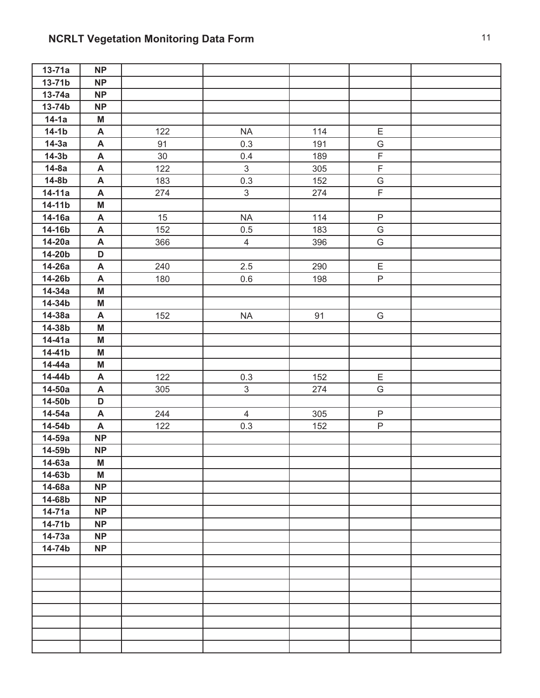| $13-71a$ | <b>NP</b>                 |     |                |     |               |  |
|----------|---------------------------|-----|----------------|-----|---------------|--|
| 13-71b   | <b>NP</b>                 |     |                |     |               |  |
| $13-74a$ | <b>NP</b>                 |     |                |     |               |  |
| 13-74b   | <b>NP</b>                 |     |                |     |               |  |
| $14-1a$  | M                         |     |                |     |               |  |
| $14-1b$  | A                         | 122 | <b>NA</b>      | 114 | Ε             |  |
| $14-3a$  | $\boldsymbol{\mathsf{A}}$ | 91  | 0.3            | 191 | ${\mathsf G}$ |  |
| $14-3b$  | A                         | 30  | 0.4            | 189 | $\mathsf F$   |  |
| $14-8a$  | A                         | 122 | $\mathfrak{S}$ | 305 | $\mathsf F$   |  |
| $14-8b$  | A                         | 183 | 0.3            | 152 | G             |  |
| 14-11a   | A                         | 274 | $\mathfrak{S}$ | 274 | $\mathsf F$   |  |
| 14-11b   | M                         |     |                |     |               |  |
| 14-16a   | A                         | 15  | <b>NA</b>      | 114 | $\mathsf{P}$  |  |
| 14-16b   | A                         | 152 | 0.5            | 183 | ${\mathsf G}$ |  |
| 14-20a   | $\boldsymbol{\mathsf{A}}$ | 366 | $\overline{4}$ | 396 | G             |  |
| 14-20b   | D                         |     |                |     |               |  |
| 14-26a   | A                         | 240 | 2.5            | 290 | E             |  |
| 14-26b   | $\boldsymbol{\mathsf{A}}$ | 180 | 0.6            | 198 | P             |  |
| 14-34a   | M                         |     |                |     |               |  |
| 14-34b   | M                         |     |                |     |               |  |
| 14-38a   | A                         | 152 | <b>NA</b>      | 91  | G             |  |
| 14-38b   | M                         |     |                |     |               |  |
| 14-41a   | M                         |     |                |     |               |  |
| 14-41b   | M                         |     |                |     |               |  |
| 14-44a   | M                         |     |                |     |               |  |
| 14-44b   | $\boldsymbol{\mathsf{A}}$ | 122 | 0.3            | 152 | E             |  |
| $14-50a$ | A                         | 305 | $\mathfrak{S}$ | 274 | G             |  |
| 14-50b   | D                         |     |                |     |               |  |
| 14-54a   | A                         | 244 | $\overline{4}$ | 305 | $\mathsf P$   |  |
| 14-54b   | A                         | 122 | 0.3            | 152 | P             |  |
| 14-59a   | <b>NP</b>                 |     |                |     |               |  |
| 14-59b   | <b>NP</b>                 |     |                |     |               |  |
| 14-63a   | M                         |     |                |     |               |  |
| 14-63b   | M                         |     |                |     |               |  |
| 14-68a   | <b>NP</b>                 |     |                |     |               |  |
| 14-68b   | <b>NP</b>                 |     |                |     |               |  |
| $14-71a$ | <b>NP</b>                 |     |                |     |               |  |
| 14-71b   | <b>NP</b>                 |     |                |     |               |  |
| $14-73a$ | <b>NP</b>                 |     |                |     |               |  |
| 14-74b   | <b>NP</b>                 |     |                |     |               |  |
|          |                           |     |                |     |               |  |
|          |                           |     |                |     |               |  |
|          |                           |     |                |     |               |  |
|          |                           |     |                |     |               |  |
|          |                           |     |                |     |               |  |
|          |                           |     |                |     |               |  |
|          |                           |     |                |     |               |  |
|          |                           |     |                |     |               |  |
|          |                           |     |                |     |               |  |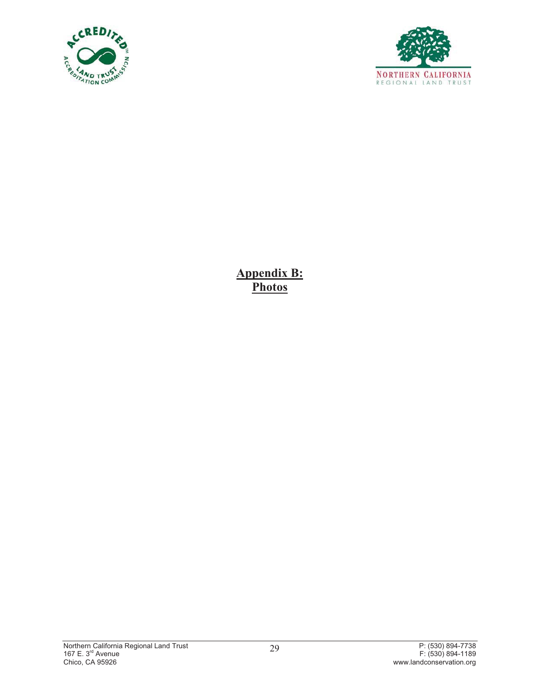



**Appendix B: Photos**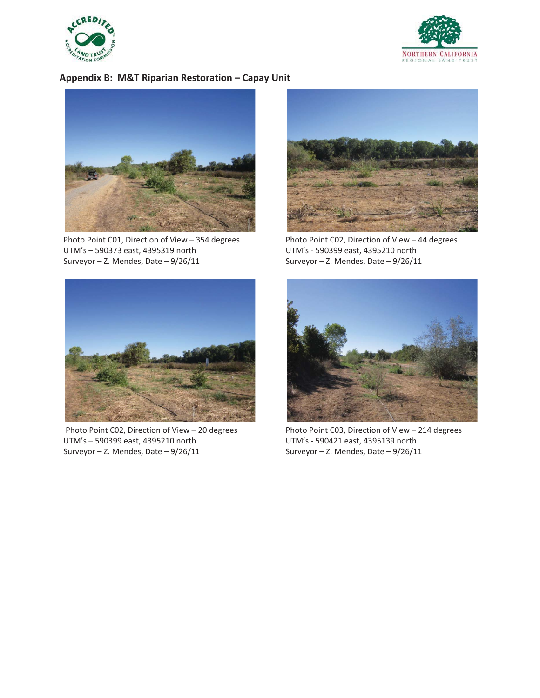



## **Appendix-B:--M&T-Riparian-Restoration-–-Capay-Unit**



Photo Point C01, Direction of View - 354 degrees UTM's - 590373 east, 4395319 north Surveyor - Z. Mendes, Date - 9/26/11



Photo Point C02, Direction of View - 44 degrees UTM's - 590399 east, 4395210 north Surveyor - Z. Mendes, Date - 9/26/11



Photo Point C02, Direction of View - 20 degrees UTM's - 590399 east, 4395210 north Surveyor - Z. Mendes, Date - 9/26/11



Photo Point C03, Direction of View - 214 degrees UTM's - 590421 east, 4395139 north Surveyor - Z. Mendes, Date - 9/26/11